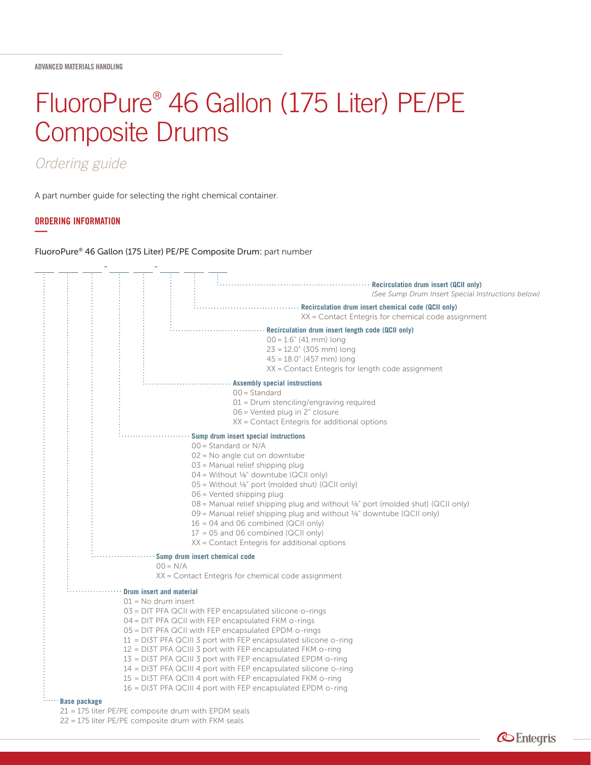# FluoroPure® 46 Gallon (175 Liter) PE/PE Composite Drums

# *Ordering guide*

A part number guide for selecting the right chemical container.

## ORDERING INFORMATION **—**

FluoroPure® 46 Gallon (175 Liter) PE/PE Composite Drum: part number



21 = 175 liter PE/PE composite drum with EPDM seals

22 = 175 liter PE/PE composite drum with FKM seals